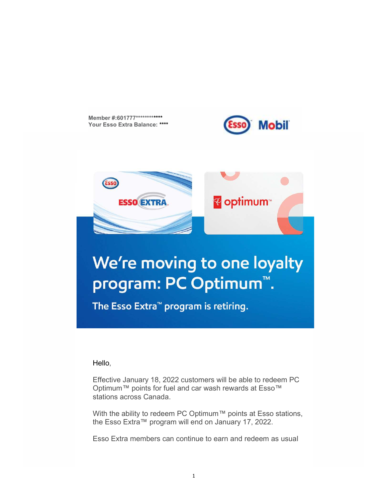Member #:601777\*\*\*\*\*\*\*\*\*\*\*\*\* Your Esso Extra Balance: \*\*\*\*





Hello,

Effective January 18, 2022 customers will be able to redeem PC Optimum™ points for fuel and car wash rewards at Esso™ stations across Canada.

With the ability to redeem PC Optimum™ points at Esso stations, the Esso Extra™ program will end on January 17, 2022.

Esso Extra members can continue to earn and redeem as usual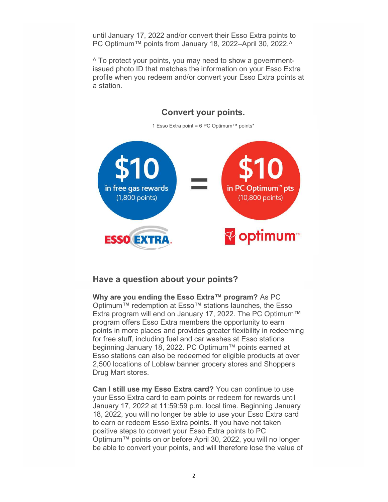until January 17, 2022 and/or convert their Esso Extra points to PC Optimum™ points from January 18, 2022–April 30, 2022.^

 ^ To protect your points, you may need to show a government- issued photo ID that matches the information on your Esso Extra profile when you redeem and/or convert your Esso Extra points at a station.



## Have a question about your points?

 Extra program will end on January 17, 2022. The PC Optimum™ program offers Esso Extra members the opportunity to earn points in more places and provides greater flexibility in redeeming for free stuff, including fuel and car washes at Esso stations beginning January 18, 2022. PC Optimum™ points earned at Esso stations can also be redeemed for eligible products at over 2,500 locations of Loblaw banner grocery stores and Shoppers Drug Mart stores. Why are you ending the Esso Extra™ program? As PC Optimum™ redemption at Esso™ stations launches, the Esso

Can I still use my Esso Extra card? You can continue to use January 17, 2022 at 11:59:59 p.m. local time. Beginning January 18, 2022, you will no longer be able to use your Esso Extra card to earn or redeem Esso Extra points. If you have not taken positive steps to convert your Esso Extra points to PC .<br>Optimum™ points on or before April 30, 2022, you will no longer be able to convert your points, and will therefore lose the value of your Esso Extra card to earn points or redeem for rewards until